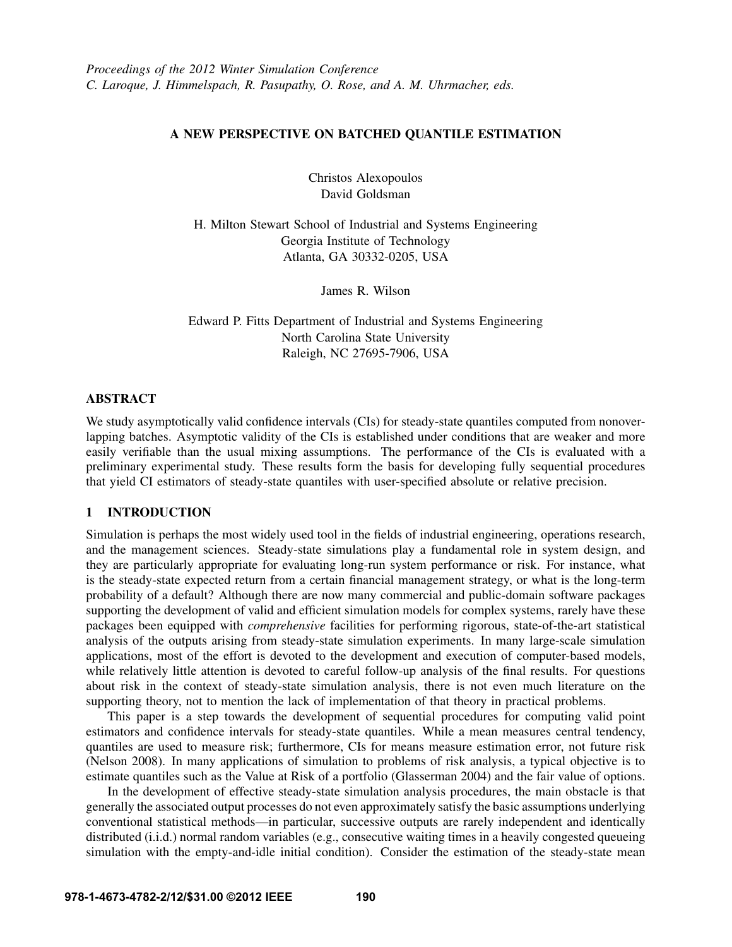# A NEW PERSPECTIVE ON BATCHED QUANTILE ESTIMATION

Christos Alexopoulos David Goldsman

H. Milton Stewart School of Industrial and Systems Engineering Georgia Institute of Technology Atlanta, GA 30332-0205, USA

James R. Wilson

Edward P. Fitts Department of Industrial and Systems Engineering North Carolina State University Raleigh, NC 27695-7906, USA

### ABSTRACT

We study asymptotically valid confidence intervals (CIs) for steady-state quantiles computed from nonoverlapping batches. Asymptotic validity of the CIs is established under conditions that are weaker and more easily verifiable than the usual mixing assumptions. The performance of the CIs is evaluated with a preliminary experimental study. These results form the basis for developing fully sequential procedures that yield CI estimators of steady-state quantiles with user-specified absolute or relative precision.

# 1 INTRODUCTION

Simulation is perhaps the most widely used tool in the fields of industrial engineering, operations research, and the management sciences. Steady-state simulations play a fundamental role in system design, and they are particularly appropriate for evaluating long-run system performance or risk. For instance, what is the steady-state expected return from a certain financial management strategy, or what is the long-term probability of a default? Although there are now many commercial and public-domain software packages supporting the development of valid and efficient simulation models for complex systems, rarely have these packages been equipped with *comprehensive* facilities for performing rigorous, state-of-the-art statistical analysis of the outputs arising from steady-state simulation experiments. In many large-scale simulation applications, most of the effort is devoted to the development and execution of computer-based models, while relatively little attention is devoted to careful follow-up analysis of the final results. For questions about risk in the context of steady-state simulation analysis, there is not even much literature on the supporting theory, not to mention the lack of implementation of that theory in practical problems.

This paper is a step towards the development of sequential procedures for computing valid point estimators and confidence intervals for steady-state quantiles. While a mean measures central tendency, quantiles are used to measure risk; furthermore, CIs for means measure estimation error, not future risk (Nelson 2008). In many applications of simulation to problems of risk analysis, a typical objective is to estimate quantiles such as the Value at Risk of a portfolio (Glasserman 2004) and the fair value of options.

In the development of effective steady-state simulation analysis procedures, the main obstacle is that generally the associated output processes do not even approximately satisfy the basic assumptions underlying conventional statistical methods—in particular, successive outputs are rarely independent and identically distributed (i.i.d.) normal random variables (e.g., consecutive waiting times in a heavily congested queueing simulation with the empty-and-idle initial condition). Consider the estimation of the steady-state mean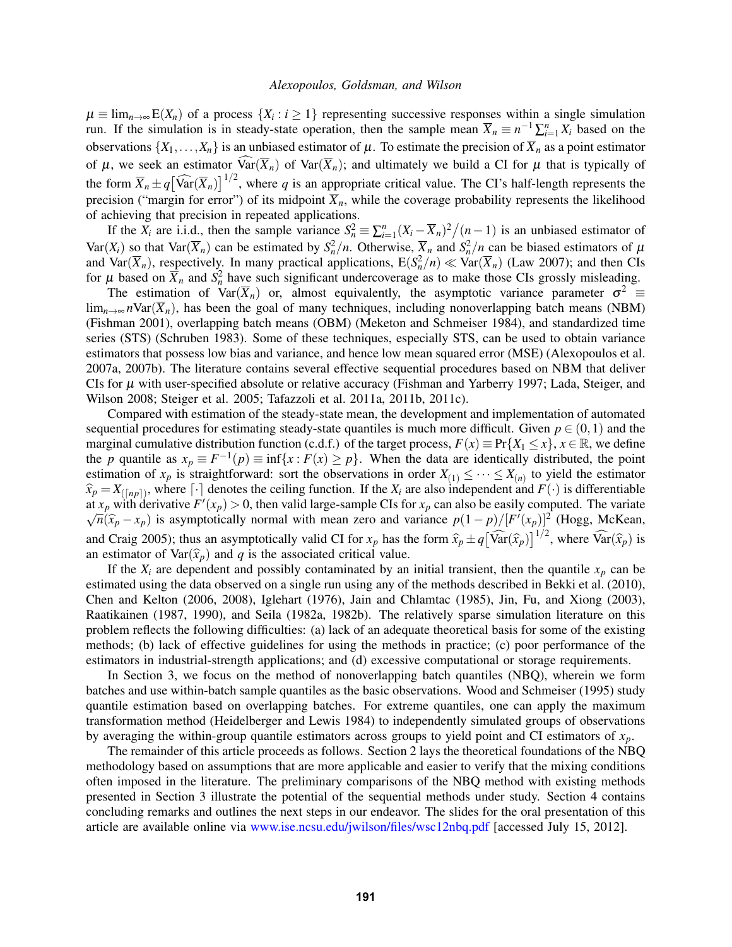$\mu \equiv \lim_{n \to \infty} E(X_n)$  of a process  $\{X_i : i \geq 1\}$  representing successive responses within a single simulation run. If the simulation is in steady-state operation, then the sample mean  $\overline{X}_n \equiv n^{-1} \sum_{i=1}^n X_i$  based on the observations  $\{X_1,\ldots,X_n\}$  is an unbiased estimator of  $\mu$ . To estimate the precision of  $\overline{X}_n$  as a point estimator of  $\mu$ , we seek an estimator  $\widehat{\text{Var}}(\overline{X}_n)$  of  $\text{Var}(\overline{X}_n)$ ; and ultimately we build a CI for  $\mu$  that is typically of the form  $\overline{X}_n \pm q \left[ \widehat{\text{Var}}(\overline{X}_n) \right]^{1/2}$ , where *q* is an appropriate critical value. The CI's half-length represents the precision ("margin for error") of its midpoint  $\overline{X}_n$ , while the coverage probability represents the likelihood of achieving that precision in repeated applications.

If the  $\overline{X}_i$  are i.i.d., then the sample variance  $S_n^2 \equiv \sum_{i=1}^n (X_i - \overline{X}_n)^2 / (n-1)$  is an unbiased estimator of Var( $X_i$ ) so that Var( $\overline{X}_n$ ) can be estimated by  $S_n^2/n$ . Otherwise,  $\overline{X}_n$  and  $S_n^2/n$  can be biased estimators of  $\mu$ and Var $(\overline{X}_n)$ , respectively. In many practical applications,  $E(S_n^2/n) \ll Var(\overline{X}_n)$  (Law 2007); and then CIs for  $\mu$  based on  $\overline{X}_n$  and  $S_n^2$  have such significant undercoverage as to make those CIs grossly misleading.

The estimation of  $Var(\overline{X}_n)$  or, almost equivalently, the asymptotic variance parameter  $\sigma^2 \equiv$  $\lim_{n\to\infty} n\text{Var}(\overline{X}_n)$ , has been the goal of many techniques, including nonoverlapping batch means (NBM) (Fishman 2001), overlapping batch means (OBM) (Meketon and Schmeiser 1984), and standardized time series (STS) (Schruben 1983). Some of these techniques, especially STS, can be used to obtain variance estimators that possess low bias and variance, and hence low mean squared error (MSE) (Alexopoulos et al. 2007a, 2007b). The literature contains several effective sequential procedures based on NBM that deliver CIs for  $\mu$  with user-specified absolute or relative accuracy (Fishman and Yarberry 1997; Lada, Steiger, and Wilson 2008; Steiger et al. 2005; Tafazzoli et al. 2011a, 2011b, 2011c).

Compared with estimation of the steady-state mean, the development and implementation of automated sequential procedures for estimating steady-state quantiles is much more difficult. Given  $p \in (0,1)$  and the marginal cumulative distribution function (c.d.f.) of the target process,  $F(x) \equiv Pr\{X_1 \le x\}$ ,  $x \in \mathbb{R}$ , we define the *p* quantile as  $x_p \equiv F^{-1}(p) \equiv \inf\{x : F(x) \ge p\}$ . When the data are identically distributed, the point estimation of  $x_p$  is straightforward: sort the observations in order  $X_{(1)} \leq \cdots \leq X_{(n)}$  to yield the estimator  $\hat{x}_p = X_{(\lceil np \rceil)}$ , where  $\lceil \cdot \rceil$  denotes the ceiling function. If the  $X_i$  are also independent and  $F(\cdot)$  is differentiable at *x<sub>p</sub>* with derivative  $F'(x_p) > 0$ , then valid large-sample CIs for  $x_p$  can also be easily computed. The variate  $\overline{n}(\widehat{x}_p - x_p)$  is asymptotically normal with mean zero and variance  $p(1 - p)/[F'(x_p)]^2$  (Hogg, McKean, and Craig 2005); thus an asymptotically valid CI for  $x_p$  has the form  $\hat{x}_p \pm q [\hat{Var}(\hat{x}_p)]^{1/2}$ , where  $\hat{Var}(\hat{x}_p)$  is an estimator of  $\text{Var}(\hat{x}_p)$  and *q* is the associated critical value.

If the  $X_i$  are dependent and possibly contaminated by an initial transient, then the quantile  $x_p$  can be estimated using the data observed on a single run using any of the methods described in Bekki et al. (2010), Chen and Kelton (2006, 2008), Iglehart (1976), Jain and Chlamtac (1985), Jin, Fu, and Xiong (2003), Raatikainen (1987, 1990), and Seila (1982a, 1982b). The relatively sparse simulation literature on this problem reflects the following difficulties: (a) lack of an adequate theoretical basis for some of the existing methods; (b) lack of effective guidelines for using the methods in practice; (c) poor performance of the estimators in industrial-strength applications; and (d) excessive computational or storage requirements.

In Section 3, we focus on the method of nonoverlapping batch quantiles (NBQ), wherein we form batches and use within-batch sample quantiles as the basic observations. Wood and Schmeiser (1995) study quantile estimation based on overlapping batches. For extreme quantiles, one can apply the maximum transformation method (Heidelberger and Lewis 1984) to independently simulated groups of observations by averaging the within-group quantile estimators across groups to yield point and CI estimators of *xp*.

The remainder of this article proceeds as follows. Section 2 lays the theoretical foundations of the NBQ methodology based on assumptions that are more applicable and easier to verify that the mixing conditions often imposed in the literature. The preliminary comparisons of the NBQ method with existing methods presented in Section 3 illustrate the potential of the sequential methods under study. Section 4 contains concluding remarks and outlines the next steps in our endeavor. The slides for the oral presentation of this article are available online via www.ise.ncsu.edu/jwilson/files/wsc12nbq.pdf [accessed July 15, 2012].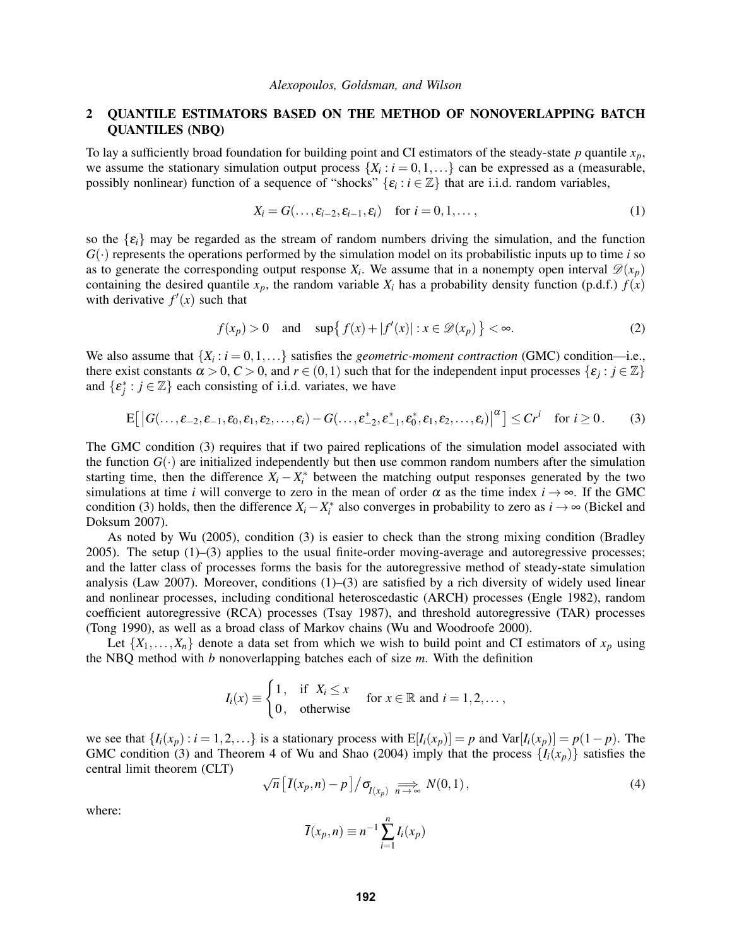# 2 QUANTILE ESTIMATORS BASED ON THE METHOD OF NONOVERLAPPING BATCH QUANTILES (NBQ)

To lay a sufficiently broad foundation for building point and CI estimators of the steady-state  $p$  quantile  $x_p$ , we assume the stationary simulation output process  $\{X_i : i = 0, 1, \ldots\}$  can be expressed as a (measurable, possibly nonlinear) function of a sequence of "shocks"  $\{\varepsilon_i : i \in \mathbb{Z}\}\$  that are i.i.d. random variables,

$$
X_i = G(\ldots, \varepsilon_{i-2}, \varepsilon_{i-1}, \varepsilon_i) \quad \text{for } i = 0, 1, \ldots,
$$
\n
$$
(1)
$$

so the  $\{\varepsilon_i\}$  may be regarded as the stream of random numbers driving the simulation, and the function  $G(\cdot)$  represents the operations performed by the simulation model on its probabilistic inputs up to time *i* so as to generate the corresponding output response  $X_i$ . We assume that in a nonempty open interval  $\mathscr{D}(x_p)$ containing the desired quantile  $x_p$ , the random variable  $X_i$  has a probability density function (p.d.f.)  $f(x)$ with derivative  $f'(x)$  such that

$$
f(x_p) > 0 \quad \text{and} \quad \sup\left\{ f(x) + |f'(x)| : x \in \mathcal{D}(x_p) \right\} < \infty. \tag{2}
$$

We also assume that  $\{X_i : i = 0, 1, \ldots\}$  satisfies the *geometric-moment contraction* (GMC) condition—i.e., there exist constants  $\alpha > 0$ ,  $C > 0$ , and  $r \in (0, 1)$  such that for the independent input processes  $\{\varepsilon_j : j \in \mathbb{Z}\}\$ and  $\{\varepsilon_j^* : j \in \mathbb{Z}\}$  each consisting of i.i.d. variates, we have

$$
\mathbf{E}\big[\big|G(\ldots,\varepsilon_{-2},\varepsilon_{-1},\varepsilon_0,\varepsilon_1,\varepsilon_2,\ldots,\varepsilon_i)-G(\ldots,\varepsilon_{-2}^*,\varepsilon_{-1}^*,\varepsilon_0^*,\varepsilon_1,\varepsilon_2,\ldots,\varepsilon_i)\big|^{\alpha}\big]\leq Cr^i\quad\text{for }i\geq 0.\tag{3}
$$

The GMC condition (3) requires that if two paired replications of the simulation model associated with the function  $G(\cdot)$  are initialized independently but then use common random numbers after the simulation starting time, then the difference  $X_i - X_i^*$  between the matching output responses generated by the two simulations at time *i* will converge to zero in the mean of order  $\alpha$  as the time index  $i \rightarrow \infty$ . If the GMC condition (3) holds, then the difference  $X_i - X_i^*$  also converges in probability to zero as  $i \to \infty$  (Bickel and Doksum 2007).

As noted by Wu (2005), condition (3) is easier to check than the strong mixing condition (Bradley 2005). The setup (1)–(3) applies to the usual finite-order moving-average and autoregressive processes; and the latter class of processes forms the basis for the autoregressive method of steady-state simulation analysis (Law 2007). Moreover, conditions  $(1)$ – $(3)$  are satisfied by a rich diversity of widely used linear and nonlinear processes, including conditional heteroscedastic (ARCH) processes (Engle 1982), random coefficient autoregressive (RCA) processes (Tsay 1987), and threshold autoregressive (TAR) processes (Tong 1990), as well as a broad class of Markov chains (Wu and Woodroofe 2000).

Let  $\{X_1, \ldots, X_n\}$  denote a data set from which we wish to build point and CI estimators of  $x_p$  using the NBQ method with *b* nonoverlapping batches each of size *m*. With the definition

$$
I_i(x) \equiv \begin{cases} 1, & \text{if } X_i \leq x \\ 0, & \text{otherwise} \end{cases} \text{ for } x \in \mathbb{R} \text{ and } i = 1, 2, \dots,
$$

we see that  $\{I_i(x_p) : i = 1, 2, \ldots\}$  is a stationary process with  $E[I_i(x_p)] = p$  and  $Var[I_i(x_p)] = p(1-p)$ . The GMC condition (3) and Theorem 4 of Wu and Shao (2004) imply that the process  $\{I_i(x_p)\}$  satisfies the central limit theorem (CLT) √

$$
\sqrt{n}\left[\overline{I}(x_p,n)-p\right]/\sigma_{I(x_p)} \implies N(0,1),\tag{4}
$$

where:

$$
\bar{I}(x_p, n) \equiv n^{-1} \sum_{i=1}^n I_i(x_p)
$$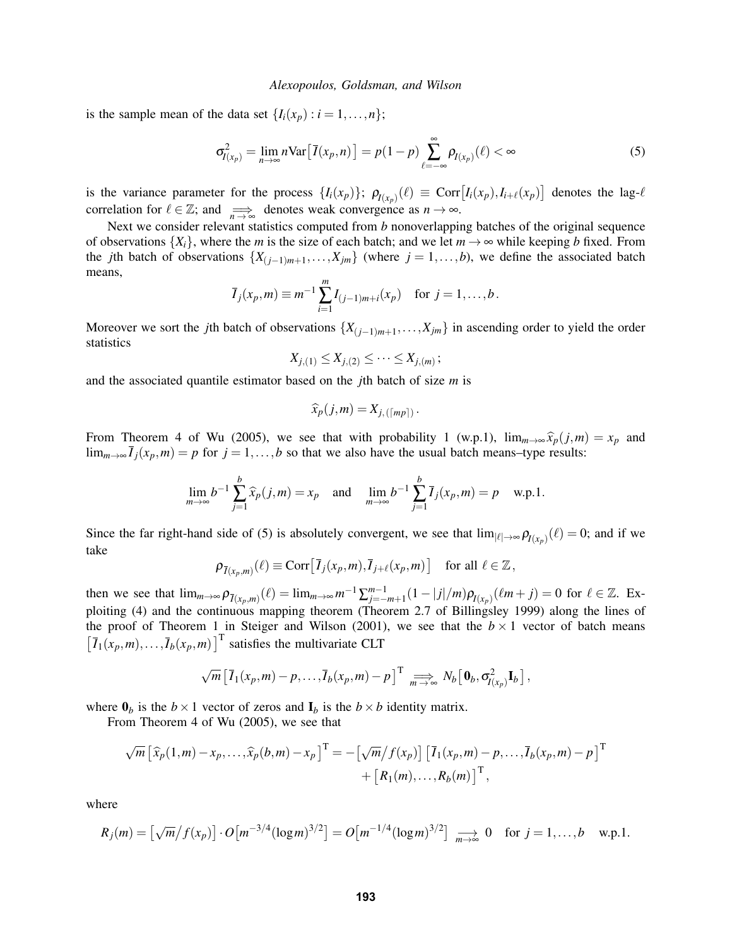is the sample mean of the data set  $\{I_i(x_p) : i = 1, \ldots, n\}$ ;

$$
\sigma_{I(x_p)}^2 = \lim_{n \to \infty} n \text{Var}\big[\overline{I}(x_p, n)\big] = p(1-p) \sum_{\ell = -\infty}^{\infty} \rho_{I(x_p)}(\ell) < \infty \tag{5}
$$

is the variance parameter for the process  $\{I_i(x_p)\};\ \rho_{I(x_p)}(\ell) \equiv \text{Corr}\left[I_i(x_p), I_{i+\ell}(x_p)\right]$  denotes the lag- $\ell$ correlation for  $\ell \in \mathbb{Z}$ ; and  $\Rightarrow_{n \to \infty}$  denotes weak convergence as  $n \to \infty$ .

Next we consider relevant statistics computed from *b* nonoverlapping batches of the original sequence of observations  $\{X_i\}$ , where the *m* is the size of each batch; and we let  $m \to \infty$  while keeping *b* fixed. From the *j*th batch of observations  $\{X_{(j-1)m+1},...,X_{jm}\}$  (where  $j = 1,...,b$ ), we define the associated batch means,

$$
\bar{I}_j(x_p, m) \equiv m^{-1} \sum_{i=1}^m I_{(j-1)m+i}(x_p)
$$
 for  $j = 1, ..., b$ .

Moreover we sort the *j*th batch of observations  $\{X_{(j-1)m+1}, \ldots, X_{jm}\}$  in ascending order to yield the order statistics

$$
X_{j,(1)} \leq X_{j,(2)} \leq \cdots \leq X_{j,(m)};
$$

and the associated quantile estimator based on the *j*th batch of size *m* is

$$
\widehat{x}_p(j,m)=X_{j,(\lceil mp \rceil)}.
$$

From Theorem 4 of Wu (2005), we see that with probability 1 (w.p.1),  $\lim_{m\to\infty} \hat{x}_p(j,m) = x_p$  and lim<sub>*m*→∞</sub> $\overline{I}_i(x_p, m) = p$  for  $j = 1, ..., b$  so that we also have the usual batch means–type results:

$$
\lim_{m \to \infty} b^{-1} \sum_{j=1}^b \widehat{x}_p(j,m) = x_p \quad \text{and} \quad \lim_{m \to \infty} b^{-1} \sum_{j=1}^b \overline{I}_j(x_p,m) = p \quad \text{w.p.1.}
$$

Since the far right-hand side of (5) is absolutely convergent, we see that  $\lim_{|\ell|\to\infty} \rho_{I(x_p)}(\ell) = 0$ ; and if we take

$$
\rho_{\overline{I}(x_p,m)}(\ell) \equiv \text{Corr}\big[\overline{I}_j(x_p,m),\overline{I}_{j+\ell}(x_p,m)\big] \quad \text{for all } \ell \in \mathbb{Z},
$$

then we see that  $\lim_{m\to\infty} \rho_{\bar{I}(x_p,m)}(\ell) = \lim_{m\to\infty} m^{-1} \sum_{j=-m+1}^{m-1} (1-|j|/m) \rho_{I(x_p)}(\ell m+j) = 0$  for  $\ell \in \mathbb{Z}$ . Exploiting (4) and the continuous mapping theorem (Theorem 2.7 of Billingsley 1999) along the lines of the proof of Theorem 1 in Steiger and Wilson (2001), we see that the  $b \times 1$  vector of batch means  $\left[\overline{I}_1(x_p,m),\ldots,\overline{I}_b(x_p,m)\right]^T$  satisfies the multivariate CLT

$$
\sqrt{m}\left[\overline{I}_1(x_p,m)-p,\ldots,\overline{I}_b(x_p,m)-p\right]^{\rm T}\underset{m\to\infty}{\Longrightarrow}N_b\left[\mathbf{0}_b,\sigma_{I(x_p)}^2\mathbf{I}_b\right],
$$

where  $\mathbf{0}_b$  is the  $b \times 1$  vector of zeros and  $\mathbf{I}_b$  is the  $b \times b$  identity matrix.

From Theorem 4 of Wu (2005), we see that

$$
\sqrt{m} \left[ \widehat{x}_p(1,m) - x_p, \ldots, \widehat{x}_p(b,m) - x_p \right]^{\mathrm{T}} = - \left[ \sqrt{m} / f(x_p) \right] \left[ \overline{I}_1(x_p, m) - p, \ldots, \overline{I}_b(x_p, m) - p \right]^{\mathrm{T}} + \left[ R_1(m), \ldots, R_b(m) \right]^{\mathrm{T}},
$$

where

$$
R_j(m) = \left[\sqrt{m}/f(x_p)\right] \cdot O\left[m^{-3/4}(\log m)^{3/2}\right] = O\left[m^{-1/4}(\log m)^{3/2}\right] \xrightarrow[m \to \infty]{} 0 \text{ for } j = 1, \ldots, b \text{ w.p.1.}
$$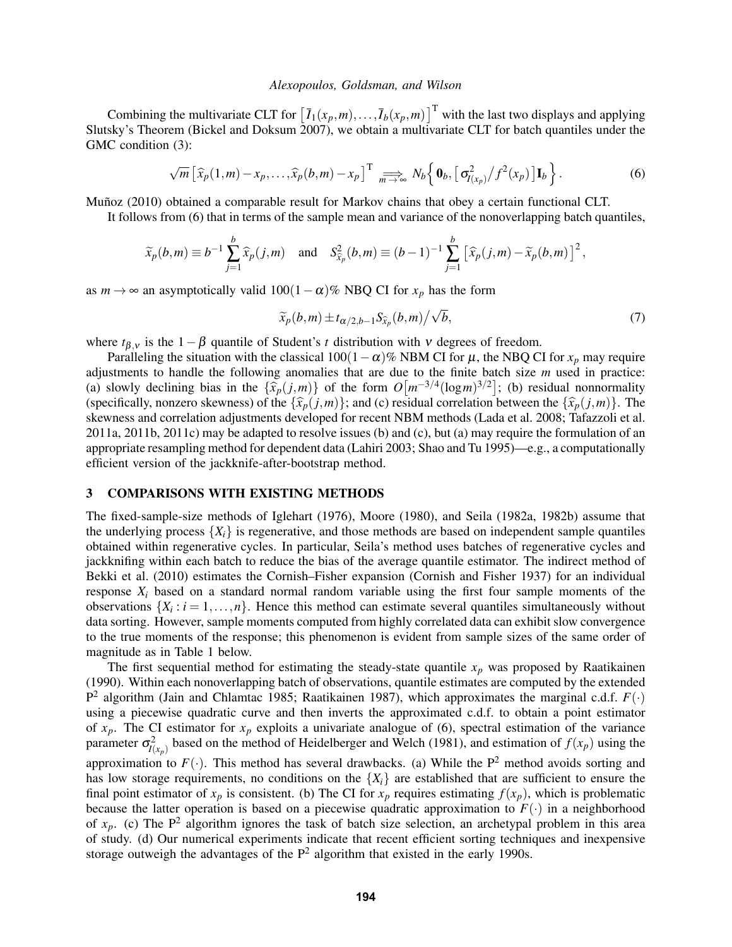Combining the multivariate CLT for  $\left[\overline{I}_1(x_p,m),\ldots,\overline{I}_b(x_p,m)\right]^T$  with the last two displays and applying Slutsky's Theorem (Bickel and Doksum 2007), we obtain a multivariate CLT for batch quantiles under the GMC condition (3):

$$
\sqrt{m}\left[\widehat{x}_p(1,m)-x_p,\ldots,\widehat{x}_p(b,m)-x_p\right]^\mathrm{T} \underset{m\to\infty}{\Longrightarrow} N_b\left\{\mathbf{0}_b,\left[\sigma_{I(x_p)}^2/f^2(x_p)\right]\mathbf{I}_b\right\}.
$$
 (6)

Muñoz (2010) obtained a comparable result for Markov chains that obey a certain functional CLT.

It follows from (6) that in terms of the sample mean and variance of the nonoverlapping batch quantiles,

$$
\widetilde{x}_p(b,m) \equiv b^{-1} \sum_{j=1}^b \widehat{x}_p(j,m) \quad \text{and} \quad S_{\widehat{x}_p}(b,m) \equiv (b-1)^{-1} \sum_{j=1}^b \left[ \widehat{x}_p(j,m) - \widetilde{x}_p(b,m) \right]^2,
$$

as  $m \to \infty$  an asymptotically valid 100(1 –  $\alpha$ )% NBQ CI for  $x_p$  has the form

$$
\widetilde{x}_p(b,m) \pm t_{\alpha/2,b-1} S_{\widehat{x}_p}(b,m) / \sqrt{b},\tag{7}
$$

where  $t_{\beta,v}$  is the 1 -  $\beta$  quantile of Student's *t* distribution with v degrees of freedom.

Paralleling the situation with the classical  $100(1-\alpha)\%$  NBM CI for  $\mu$ , the NBQ CI for  $x_p$  may require adjustments to handle the following anomalies that are due to the finite batch size *m* used in practice: (a) slowly declining bias in the  $\{\hat{x}_p(j,m)\}$  of the form  $O[m^{-3/4}(\log m)^{3/2}]$ ; (b) residual nonnormality (specifically nonzero skewness) of the  $\{\hat{x}^i, j, m\}$ ; and (c) residual correlation between the  $\{\hat{x}^i, j, m\}$ . The (specifically, nonzero skewness) of the  $\{\hat{x}_p(j,m)\}\$ ; and (c) residual correlation between the  $\{\hat{x}_p(j,m)\}\$ . The skewness and correlation adjustments developed for recent NBM methods (Lada et al. 2008; Tafazzoli et al. 2011a, 2011b, 2011c) may be adapted to resolve issues (b) and (c), but (a) may require the formulation of an appropriate resampling method for dependent data (Lahiri 2003; Shao and Tu 1995)—e.g., a computationally efficient version of the jackknife-after-bootstrap method.

## 3 COMPARISONS WITH EXISTING METHODS

The fixed-sample-size methods of Iglehart (1976), Moore (1980), and Seila (1982a, 1982b) assume that the underlying process  $\{X_i\}$  is regenerative, and those methods are based on independent sample quantiles obtained within regenerative cycles. In particular, Seila's method uses batches of regenerative cycles and jackknifing within each batch to reduce the bias of the average quantile estimator. The indirect method of Bekki et al. (2010) estimates the Cornish–Fisher expansion (Cornish and Fisher 1937) for an individual response  $X_i$  based on a standard normal random variable using the first four sample moments of the observations  $\{X_i : i = 1, ..., n\}$ . Hence this method can estimate several quantiles simultaneously without data sorting. However, sample moments computed from highly correlated data can exhibit slow convergence to the true moments of the response; this phenomenon is evident from sample sizes of the same order of magnitude as in Table 1 below.

The first sequential method for estimating the steady-state quantile  $x_p$  was proposed by Raatikainen (1990). Within each nonoverlapping batch of observations, quantile estimates are computed by the extended  $P^2$  algorithm (Jain and Chlamtac 1985; Raatikainen 1987), which approximates the marginal c.d.f.  $F(\cdot)$ using a piecewise quadratic curve and then inverts the approximated c.d.f. to obtain a point estimator of  $x_p$ . The CI estimator for  $x_p$  exploits a univariate analogue of (6), spectral estimation of the variance parameter  $\sigma_{l}^2$  $I_{I(x_p)}^2$  based on the method of Heidelberger and Welch (1981), and estimation of  $f(x_p)$  using the approximation to  $F(\cdot)$ . This method has several drawbacks. (a) While the  $P^2$  method avoids sorting and has low storage requirements, no conditions on the  $\{X_i\}$  are established that are sufficient to ensure the final point estimator of  $x_p$  is consistent. (b) The CI for  $x_p$  requires estimating  $f(x_p)$ , which is problematic because the latter operation is based on a piecewise quadratic approximation to  $F(\cdot)$  in a neighborhood of  $x_p$ . (c) The  $P^2$  algorithm ignores the task of batch size selection, an archetypal problem in this area of study. (d) Our numerical experiments indicate that recent efficient sorting techniques and inexpensive storage outweigh the advantages of the  $P<sup>2</sup>$  algorithm that existed in the early 1990s.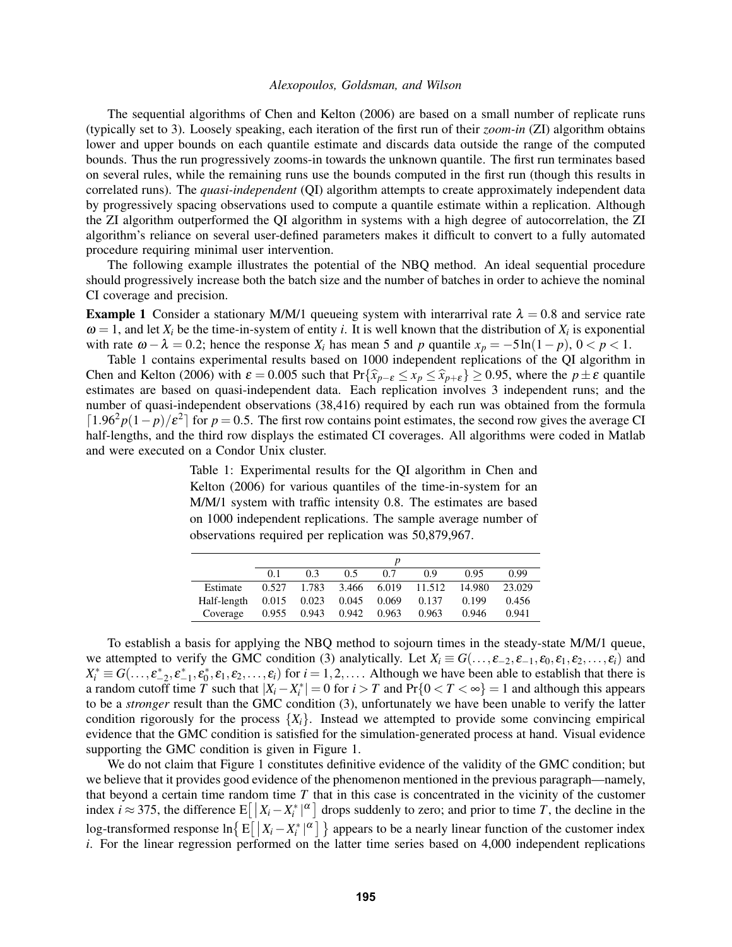The sequential algorithms of Chen and Kelton (2006) are based on a small number of replicate runs (typically set to 3). Loosely speaking, each iteration of the first run of their *zoom-in* (ZI) algorithm obtains lower and upper bounds on each quantile estimate and discards data outside the range of the computed bounds. Thus the run progressively zooms-in towards the unknown quantile. The first run terminates based on several rules, while the remaining runs use the bounds computed in the first run (though this results in correlated runs). The *quasi-independent* (QI) algorithm attempts to create approximately independent data by progressively spacing observations used to compute a quantile estimate within a replication. Although the ZI algorithm outperformed the QI algorithm in systems with a high degree of autocorrelation, the ZI algorithm's reliance on several user-defined parameters makes it difficult to convert to a fully automated procedure requiring minimal user intervention.

The following example illustrates the potential of the NBQ method. An ideal sequential procedure should progressively increase both the batch size and the number of batches in order to achieve the nominal CI coverage and precision.

**Example 1** Consider a stationary M/M/1 queueing system with interarrival rate  $\lambda = 0.8$  and service rate  $\omega = 1$ , and let  $X_i$  be the time-in-system of entity *i*. It is well known that the distribution of  $X_i$  is exponential with rate  $\omega - \lambda = 0.2$ ; hence the response  $X_i$  has mean 5 and p quantile  $x_p = -5\ln(1-p)$ ,  $0 < p < 1$ .

Table 1 contains experimental results based on 1000 independent replications of the QI algorithm in Chen and Kelton (2006) with  $\varepsilon = 0.005$  such that  $Pr{\{\hat{x}_{p-\varepsilon} \leq x_p \leq \hat{x}_{p+\varepsilon}\}} \geq 0.95$ , where the  $p \pm \varepsilon$  quantile estimates are based on quasi-independent data. Each replication involves 3 independent runs; and the number of quasi-independent observations (38,416) required by each run was obtained from the formula [1.96<sup>2</sup> *p*(1−*p*)/ε<sup>2</sup>] for *p* = 0.5. The first row contains point estimates, the second row gives the average CI half-lengths, and the third row displays the estimated CI coverages. All algorithms were coded in Matlab and were executed on a Condor Unix cluster.

Table 1: Experimental results for the QI algorithm in Chen and Kelton (2006) for various quantiles of the time-in-system for an M/M/1 system with traffic intensity 0.8. The estimates are based on 1000 independent replications. The sample average number of observations required per replication was 50,879,967.

|             | 0 <sub>1</sub> | 03            | 0.5         | 0.7   | 09     | 0.95   | O 99   |  |  |
|-------------|----------------|---------------|-------------|-------|--------|--------|--------|--|--|
| Estimate    | 0.527          | 1.783         | 3.466 6.019 |       | 11.512 | 14.980 | 23.029 |  |  |
| Half-length |                | $0.015$ 0.023 | 0.045       | 0.069 | 0.137  | 0.199  | 0.456  |  |  |
| Coverage    | 0.955          | 0.943         | 0.942       | 0.963 | 0.963  | 0.946  | 0.941  |  |  |

To establish a basis for applying the NBQ method to sojourn times in the steady-state M/M/1 queue, we attempted to verify the GMC condition (3) analytically. Let  $X_i \equiv G(\ldots, \varepsilon_{-2}, \varepsilon_{-1}, \varepsilon_0, \varepsilon_1, \varepsilon_2, \ldots, \varepsilon_i)$  and  $X_i^* \equiv G(\ldots, \varepsilon_{-2}^*, \varepsilon_{-1}^*, \varepsilon_0^*, \varepsilon_1, \varepsilon_2, \ldots, \varepsilon_i)$  for  $i = 1, 2, \ldots$ . Although we have been able to establish that there is a random cutoff time  $\tilde{T}$  such that  $|X_i - X_i^*| = 0$  for  $i > T$  and  $Pr\{0 < T < \infty\} = 1$  and although this appears to be a *stronger* result than the GMC condition (3), unfortunately we have been unable to verify the latter condition rigorously for the process  $\{X_i\}$ . Instead we attempted to provide some convincing empirical evidence that the GMC condition is satisfied for the simulation-generated process at hand. Visual evidence supporting the GMC condition is given in Figure 1.

We do not claim that Figure 1 constitutes definitive evidence of the validity of the GMC condition; but we believe that it provides good evidence of the phenomenon mentioned in the previous paragraph—namely, that beyond a certain time random time *T* that in this case is concentrated in the vicinity of the customer index  $i \approx 375$ , the difference  $E\left[\left|X_i - X_i^*\right|^{\alpha}\right]$  drops suddenly to zero; and prior to time *T*, the decline in the log-transformed response  $\ln \left\{ E \left[ |X_i - X_i^*|^\alpha \right] \right\}$  appears to be a nearly linear function of the customer index *i*. For the linear regression performed on the latter time series based on 4,000 independent replications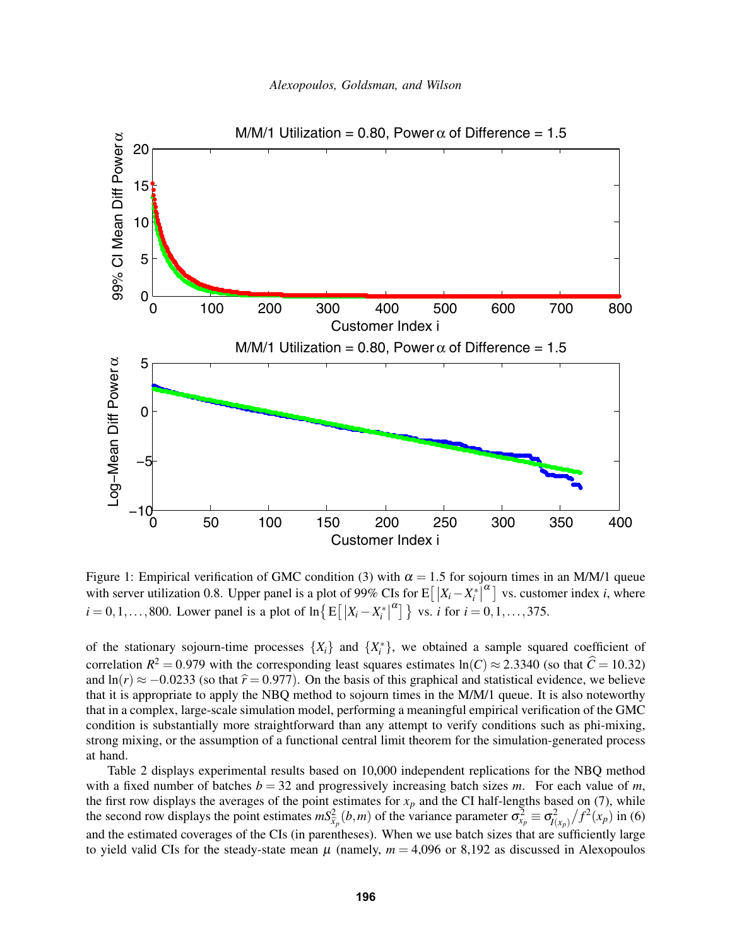

Figure 1: Empirical verification of GMC condition (3) with  $\alpha = 1.5$  for sojourn times in an M/M/1 queue with server utilization 0.8. Upper panel is a plot of 99% CIs for  $E[|X_i - X_i^*|]$  $\alpha$  vs. customer index *i*, where  $i = 0, 1, \ldots, 800$ . Lower panel is a plot of  $\ln \left\{ E \left[ \left| X_i - X_i^* \right| \right] \right\}$  $\alpha$  | | vs. *i* for  $i = 0, 1, ..., 375$ .

of the stationary sojourn-time processes  $\{X_i\}$  and  $\{X_i^*\}$ , we obtained a sample squared coefficient of correlation  $R^2 = 0.979$  with the corresponding least squares estimates  $\ln(C) \approx 2.3340$  (so that  $\hat{C} = 10.32$ ) and  $ln(r) \approx -0.0233$  (so that  $\hat{r} = 0.977$ ). On the basis of this graphical and statistical evidence, we believe that it is appropriate to apply the NBQ method to sojourn times in the M/M/1 queue. It is also noteworthy that in a complex, large-scale simulation model, performing a meaningful empirical verification of the GMC condition is substantially more straightforward than any attempt to verify conditions such as phi-mixing, strong mixing, or the assumption of a functional central limit theorem for the simulation-generated process at hand.

Table 2 displays experimental results based on 10,000 independent replications for the NBQ method with a fixed number of batches  $b = 32$  and progressively increasing batch sizes *m*. For each value of *m*, the first row displays the averages of the point estimates for  $x_p$  and the CI half-lengths based on (7), while the second row displays the point estimates  $mS_{\hat{x}_p}^2(b,m)$  of the variance parameter  $\sigma_{x_p}^2 \equiv \sigma_{\hat{x}_p}^2$  $J_{I(x_p)}^{2}/f^2(x_p)$  in (6) and the estimated coverages of the CIs (in parentheses). When we use batch sizes that are sufficiently large to yield valid CIs for the steady-state mean  $\mu$  (namely,  $m = 4,096$  or 8,192 as discussed in Alexopoulos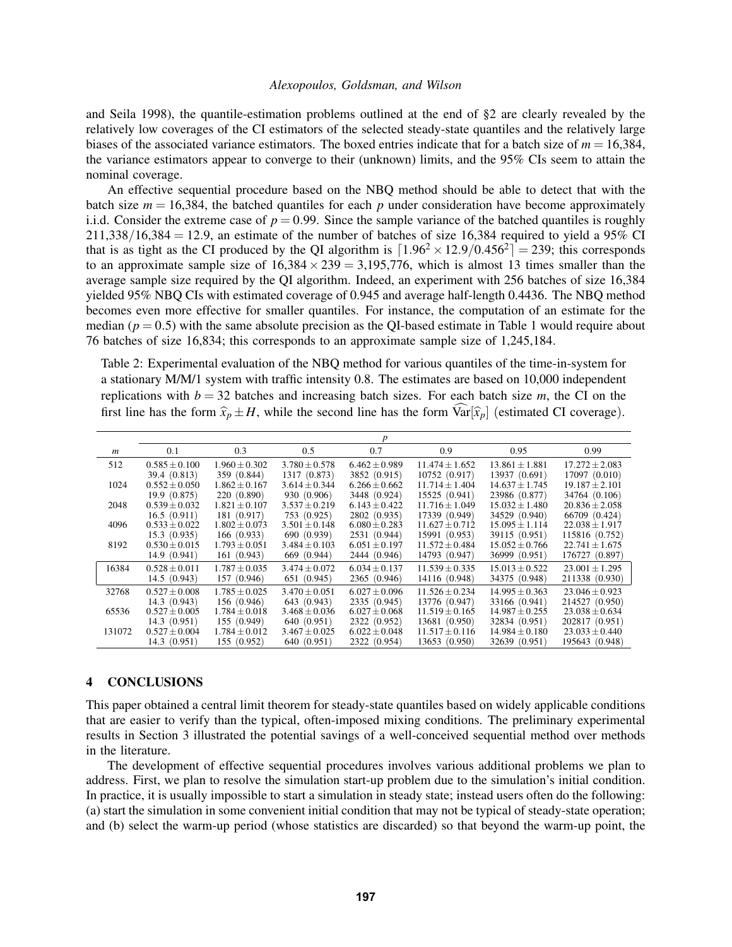and Seila 1998), the quantile-estimation problems outlined at the end of §2 are clearly revealed by the relatively low coverages of the CI estimators of the selected steady-state quantiles and the relatively large biases of the associated variance estimators. The boxed entries indicate that for a batch size of  $m = 16,384$ , the variance estimators appear to converge to their (unknown) limits, and the 95% CIs seem to attain the nominal coverage.

An effective sequential procedure based on the NBQ method should be able to detect that with the batch size  $m = 16,384$ , the batched quantiles for each p under consideration have become approximately i.i.d. Consider the extreme case of  $p = 0.99$ . Since the sample variance of the batched quantiles is roughly  $211,338/16,384 = 12.9$ , an estimate of the number of batches of size 16,384 required to yield a 95% CI that is as tight as the CI produced by the QI algorithm is  $\left[1.96^2 \times 12.9/0.456^2\right] = 239$ ; this corresponds to an approximate sample size of  $16,384 \times 239 = 3,195,776$ , which is almost 13 times smaller than the average sample size required by the QI algorithm. Indeed, an experiment with 256 batches of size 16,384 yielded 95% NBQ CIs with estimated coverage of 0.945 and average half-length 0.4436. The NBQ method becomes even more effective for smaller quantiles. For instance, the computation of an estimate for the median ( $p = 0.5$ ) with the same absolute precision as the QI-based estimate in Table 1 would require about 76 batches of size 16,834; this corresponds to an approximate sample size of 1,245,184.

Table 2: Experimental evaluation of the NBQ method for various quantiles of the time-in-system for a stationary M/M/1 system with traffic intensity 0.8. The estimates are based on 10,000 independent replications with  $b = 32$  batches and increasing batch sizes. For each batch size *m*, the CI on the first line has the form  $\hat{x}_p \pm H$ , while the second line has the form  $\hat{\text{Var}}[\hat{x}_p]$  (estimated CI coverage).

| $\boldsymbol{m}$ | 0.1               | 0.3               | 0.5               | 0.7               | 0.9                | 0.95               | 0.99               |
|------------------|-------------------|-------------------|-------------------|-------------------|--------------------|--------------------|--------------------|
| 512              | $0.585 \pm 0.100$ | $1.960 \pm 0.302$ | $3.780 \pm 0.578$ | $6.462 \pm 0.989$ | $11.474 \pm 1.652$ | $13.861 \pm 1.881$ | $17.272 \pm 2.083$ |
|                  | 39.4 (0.813)      | 359 (0.844)       | 1317 (0.873)      | 3852 (0.915)      | 10752 (0.917)      | 13937 (0.691)      | 17097 (0.010)      |
| 1024             | $0.552 \pm 0.050$ | $1.862 \pm 0.167$ | $3.614 \pm 0.344$ | $6.266 \pm 0.662$ | $11.714 \pm 1.404$ | $14.637 \pm 1.745$ | $19.187 \pm 2.101$ |
|                  | 19.9(0.875)       | 220 (0.890)       | 930 (0.906)       | 3448 (0.924)      | 15525 (0.941)      | 23986 (0.877)      | 34764 (0.106)      |
| 2048             | $0.539 \pm 0.032$ | $1.821 \pm 0.107$ | $3.537 \pm 0.219$ | $6.143 \pm 0.422$ | $11.716 \pm 1.049$ | $15.032 \pm 1.480$ | $20.836 \pm 2.058$ |
|                  | 16.5(0.911)       | 181 (0.917)       | 753 (0.925)       | 2802 (0.935)      | 17339 (0.949)      | 34529 (0.940)      | 66709 (0.424)      |
| 4096             | $0.533 \pm 0.022$ | $1.802 \pm 0.073$ | $3.501 \pm 0.148$ | $6.080 \pm 0.283$ | $11.627 \pm 0.712$ | $15.095 \pm 1.114$ | $22.038 \pm 1.917$ |
|                  | 15.3(0.935)       | 166(0.933)        | 690 (0.939)       | 2531 (0.944)      | 15991 (0.953)      | 39115 (0.951)      | 115816 (0.752)     |
| 8192             | $0.530 \pm 0.015$ | $1.793 \pm 0.051$ | $3.484 \pm 0.103$ | $6.051 \pm 0.197$ | $11.572 \pm 0.484$ | $15.052 \pm 0.766$ | $22.741 \pm 1.675$ |
|                  | 14.9(0.941)       | 161(0.943)        | 669 (0.944)       | 2444 (0.946)      | 14793 (0.947)      | 36999 (0.951)      | 176727 (0.897)     |
| 16384            | $0.528 \pm 0.011$ | $1.787 \pm 0.035$ | $3.474 \pm 0.072$ | $6.034 \pm 0.137$ | $11.539 \pm 0.335$ | $15.013 \pm 0.522$ | $23.001 \pm 1.295$ |
|                  | 14.5(0.943)       | 157 (0.946)       | 651 (0.945)       | 2365 (0.946)      | 14116 (0.948)      | 34375 (0.948)      | 211338 (0.930)     |
| 32768            | $0.527 \pm 0.008$ | $1.785 \pm 0.025$ | $3.470 \pm 0.051$ | $6.027 \pm 0.096$ | $11.526 \pm 0.234$ | $14.995 \pm 0.363$ | $23.046 \pm 0.923$ |
|                  | 14.3(0.943)       | 156 (0.946)       | 643 (0.943)       | 2335 (0.945)      | 13776 (0.947)      | 33166 (0.941)      | 214527 (0.950)     |
| 65536            | $0.527 \pm 0.005$ | $1.784 \pm 0.018$ | $3.468 \pm 0.036$ | $6.027 \pm 0.068$ | $11.519 \pm 0.165$ | $14.987 \pm 0.255$ | $23.038 \pm 0.634$ |
|                  | 14.3(0.951)       | 155(0.949)        | 640 (0.951)       | 2322 (0.952)      | 13681 (0.950)      | 32834 (0.951)      | 202817 (0.951)     |
| 131072           | $0.527 \pm 0.004$ | $1.784 \pm 0.012$ | $3.467 \pm 0.025$ | $6.022 \pm 0.048$ | $11.517 \pm 0.116$ | $14.984 \pm 0.180$ | $23.033 \pm 0.440$ |
|                  | 14.3(0.951)       | 155 (0.952)       | 640 (0.951)       | 2322 (0.954)      | 13653 (0.950)      | 32639 (0.951)      | 195643 (0.948)     |

#### 4 CONCLUSIONS

This paper obtained a central limit theorem for steady-state quantiles based on widely applicable conditions that are easier to verify than the typical, often-imposed mixing conditions. The preliminary experimental results in Section 3 illustrated the potential savings of a well-conceived sequential method over methods in the literature.

The development of effective sequential procedures involves various additional problems we plan to address. First, we plan to resolve the simulation start-up problem due to the simulation's initial condition. In practice, it is usually impossible to start a simulation in steady state; instead users often do the following: (a) start the simulation in some convenient initial condition that may not be typical of steady-state operation; and (b) select the warm-up period (whose statistics are discarded) so that beyond the warm-up point, the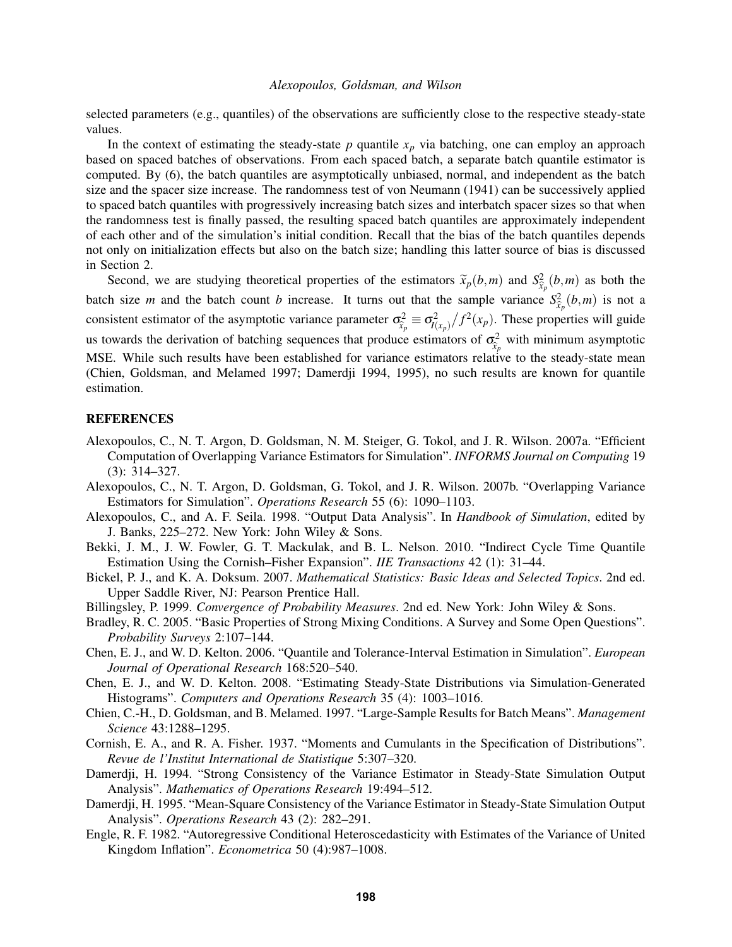selected parameters (e.g., quantiles) of the observations are sufficiently close to the respective steady-state values.

In the context of estimating the steady-state  $p$  quantile  $x_p$  via batching, one can employ an approach based on spaced batches of observations. From each spaced batch, a separate batch quantile estimator is computed. By (6), the batch quantiles are asymptotically unbiased, normal, and independent as the batch size and the spacer size increase. The randomness test of von Neumann (1941) can be successively applied to spaced batch quantiles with progressively increasing batch sizes and interbatch spacer sizes so that when the randomness test is finally passed, the resulting spaced batch quantiles are approximately independent of each other and of the simulation's initial condition. Recall that the bias of the batch quantiles depends not only on initialization effects but also on the batch size; handling this latter source of bias is discussed in Section 2.

Second, we are studying theoretical properties of the estimators  $\tilde{x}_p(b,m)$  and  $S_{\tilde{x}_p}(b,m)$  as both the batch size *m* and the batch count *b* increase. It turns out that the sample variance  $S_{\hat{\lambda}_p}^2(b, m)$  is not a consistent estimator of the asymptotic variance parameter  $\sigma_{\hat{r}}^2$  $\sigma^2_{\widehat{x}_p} \equiv \sigma^2_{I(1)}$  $\int_{I(x_p)}^{2} / f^2(x_p)$ . These properties will guide us towards the derivation of batching sequences that produce estimators of  $\sigma_{\hat{x}}^2$  $\hat{x}_p^2$  with minimum asymptotic MSE. While such results have been established for variance estimators relative to the steady-state mean (Chien, Goldsman, and Melamed 1997; Damerdji 1994, 1995), no such results are known for quantile estimation.

#### REFERENCES

- Alexopoulos, C., N. T. Argon, D. Goldsman, N. M. Steiger, G. Tokol, and J. R. Wilson. 2007a. "Efficient Computation of Overlapping Variance Estimators for Simulation". *INFORMS Journal on Computing* 19 (3): 314–327.
- Alexopoulos, C., N. T. Argon, D. Goldsman, G. Tokol, and J. R. Wilson. 2007b. "Overlapping Variance Estimators for Simulation". *Operations Research* 55 (6): 1090–1103.
- Alexopoulos, C., and A. F. Seila. 1998. "Output Data Analysis". In *Handbook of Simulation*, edited by J. Banks, 225–272. New York: John Wiley & Sons.
- Bekki, J. M., J. W. Fowler, G. T. Mackulak, and B. L. Nelson. 2010. "Indirect Cycle Time Quantile Estimation Using the Cornish–Fisher Expansion". *IIE Transactions* 42 (1): 31–44.
- Bickel, P. J., and K. A. Doksum. 2007. *Mathematical Statistics: Basic Ideas and Selected Topics*. 2nd ed. Upper Saddle River, NJ: Pearson Prentice Hall.
- Billingsley, P. 1999. *Convergence of Probability Measures*. 2nd ed. New York: John Wiley & Sons.
- Bradley, R. C. 2005. "Basic Properties of Strong Mixing Conditions. A Survey and Some Open Questions". *Probability Surveys* 2:107–144.
- Chen, E. J., and W. D. Kelton. 2006. "Quantile and Tolerance-Interval Estimation in Simulation". *European Journal of Operational Research* 168:520–540.
- Chen, E. J., and W. D. Kelton. 2008. "Estimating Steady-State Distributions via Simulation-Generated Histograms". *Computers and Operations Research* 35 (4): 1003–1016.
- Chien, C.-H., D. Goldsman, and B. Melamed. 1997. "Large-Sample Results for Batch Means". *Management Science* 43:1288–1295.
- Cornish, E. A., and R. A. Fisher. 1937. "Moments and Cumulants in the Specification of Distributions". *Revue de l'Institut International de Statistique* 5:307–320.
- Damerdji, H. 1994. "Strong Consistency of the Variance Estimator in Steady-State Simulation Output Analysis". *Mathematics of Operations Research* 19:494–512.
- Damerdji, H. 1995. "Mean-Square Consistency of the Variance Estimator in Steady-State Simulation Output Analysis". *Operations Research* 43 (2): 282–291.
- Engle, R. F. 1982. "Autoregressive Conditional Heteroscedasticity with Estimates of the Variance of United Kingdom Inflation". *Econometrica* 50 (4):987–1008.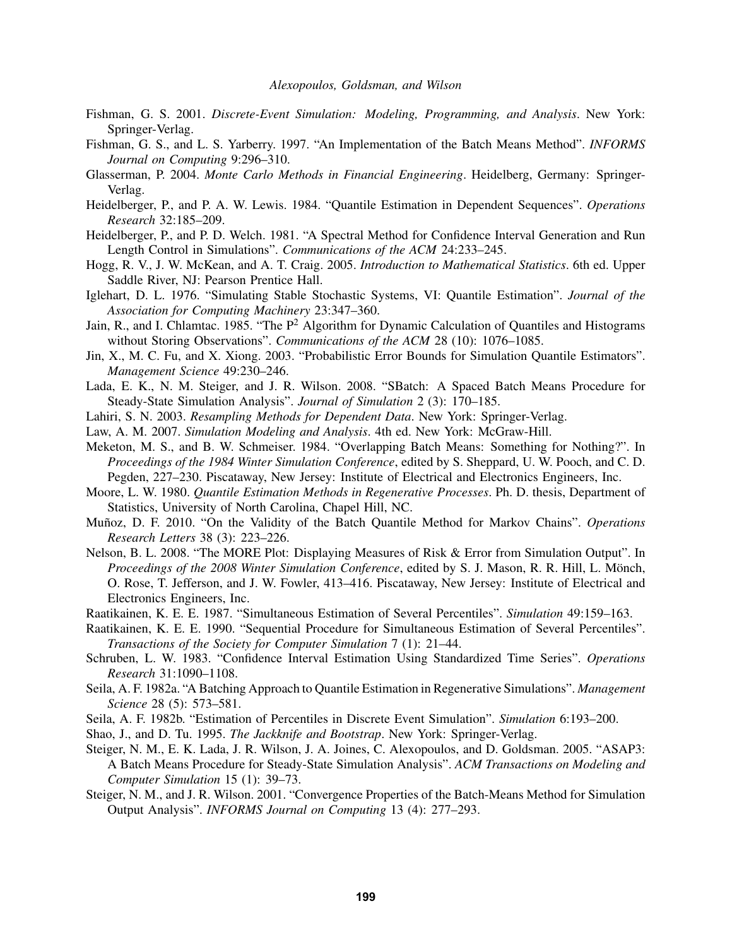- Fishman, G. S. 2001. *Discrete-Event Simulation: Modeling, Programming, and Analysis*. New York: Springer-Verlag.
- Fishman, G. S., and L. S. Yarberry. 1997. "An Implementation of the Batch Means Method". *INFORMS Journal on Computing* 9:296–310.
- Glasserman, P. 2004. *Monte Carlo Methods in Financial Engineering*. Heidelberg, Germany: Springer-Verlag.
- Heidelberger, P., and P. A. W. Lewis. 1984. "Quantile Estimation in Dependent Sequences". *Operations Research* 32:185–209.
- Heidelberger, P., and P. D. Welch. 1981. "A Spectral Method for Confidence Interval Generation and Run Length Control in Simulations". *Communications of the ACM* 24:233–245.
- Hogg, R. V., J. W. McKean, and A. T. Craig. 2005. *Introduction to Mathematical Statistics*. 6th ed. Upper Saddle River, NJ: Pearson Prentice Hall.
- Iglehart, D. L. 1976. "Simulating Stable Stochastic Systems, VI: Quantile Estimation". *Journal of the Association for Computing Machinery* 23:347–360.
- Jain, R., and I. Chlamtac. 1985. "The P<sup>2</sup> Algorithm for Dynamic Calculation of Quantiles and Histograms without Storing Observations". *Communications of the ACM* 28 (10): 1076–1085.
- Jin, X., M. C. Fu, and X. Xiong. 2003. "Probabilistic Error Bounds for Simulation Quantile Estimators". *Management Science* 49:230–246.
- Lada, E. K., N. M. Steiger, and J. R. Wilson. 2008. "SBatch: A Spaced Batch Means Procedure for Steady-State Simulation Analysis". *Journal of Simulation* 2 (3): 170–185.
- Lahiri, S. N. 2003. *Resampling Methods for Dependent Data*. New York: Springer-Verlag.
- Law, A. M. 2007. *Simulation Modeling and Analysis*. 4th ed. New York: McGraw-Hill.
- Meketon, M. S., and B. W. Schmeiser. 1984. "Overlapping Batch Means: Something for Nothing?". In *Proceedings of the 1984 Winter Simulation Conference*, edited by S. Sheppard, U. W. Pooch, and C. D. Pegden, 227–230. Piscataway, New Jersey: Institute of Electrical and Electronics Engineers, Inc.
- Moore, L. W. 1980. *Quantile Estimation Methods in Regenerative Processes*. Ph. D. thesis, Department of Statistics, University of North Carolina, Chapel Hill, NC.
- Muñoz, D. F. 2010. "On the Validity of the Batch Quantile Method for Markov Chains". *Operations Research Letters* 38 (3): 223–226.
- Nelson, B. L. 2008. "The MORE Plot: Displaying Measures of Risk & Error from Simulation Output". In *Proceedings of the 2008 Winter Simulation Conference*, edited by S. J. Mason, R. R. Hill, L. Monch, ¨ O. Rose, T. Jefferson, and J. W. Fowler, 413–416. Piscataway, New Jersey: Institute of Electrical and Electronics Engineers, Inc.
- Raatikainen, K. E. E. 1987. "Simultaneous Estimation of Several Percentiles". *Simulation* 49:159–163.
- Raatikainen, K. E. E. 1990. "Sequential Procedure for Simultaneous Estimation of Several Percentiles". *Transactions of the Society for Computer Simulation* 7 (1): 21–44.
- Schruben, L. W. 1983. "Confidence Interval Estimation Using Standardized Time Series". *Operations Research* 31:1090–1108.
- Seila, A. F. 1982a. "A Batching Approach to Quantile Estimation in Regenerative Simulations". *Management Science* 28 (5): 573–581.
- Seila, A. F. 1982b. "Estimation of Percentiles in Discrete Event Simulation". *Simulation* 6:193–200.
- Shao, J., and D. Tu. 1995. *The Jackknife and Bootstrap*. New York: Springer-Verlag.
- Steiger, N. M., E. K. Lada, J. R. Wilson, J. A. Joines, C. Alexopoulos, and D. Goldsman. 2005. "ASAP3: A Batch Means Procedure for Steady-State Simulation Analysis". *ACM Transactions on Modeling and Computer Simulation* 15 (1): 39–73.
- Steiger, N. M., and J. R. Wilson. 2001. "Convergence Properties of the Batch-Means Method for Simulation Output Analysis". *INFORMS Journal on Computing* 13 (4): 277–293.